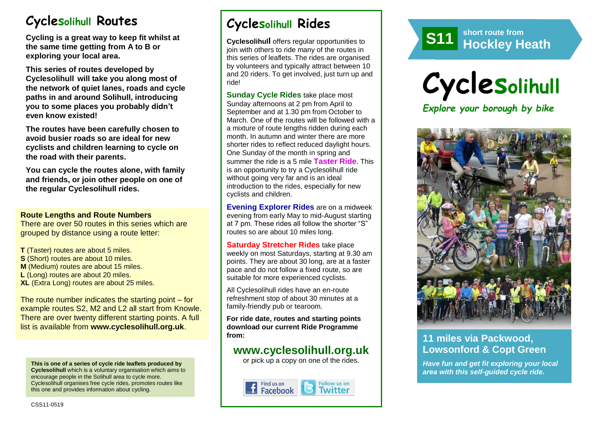# **Cyclesolihull Routes**

**Cycling is a great way to keep fit whilst at the same time getting from A to B or exploring your local area.** 

**This series of routes developed by Cyclesolihull will take you along most of the network of quiet lanes, roads and cycle paths in and around Solihull, introducing you to some places you probably didn't even know existed!**

**The routes have been carefully chosen to avoid busier roads so are ideal for new cyclists and children learning to cycle on the road with their parents.** 

**You can cycle the routes alone, with family and friends, or join other people on one of the regular Cyclesolihull rides.**

#### **Route Lengths and Route Numbers**

There are over 50 routes in this series which are grouped by distance using a route letter:

**T** (Taster) routes are about 5 miles. **S** (Short) routes are about 10 miles. **M** (Medium) routes are about 15 miles. **L** (Long) routes are about 20 miles. **XL** (Extra Long) routes are about 25 miles.

The route number indicates the starting point – for example routes S2, M2 and L2 all start from Knowle. There are over twenty different starting points. A full list is available from **www.cyclesolihull.org.uk**.

**This is one of a series of cycle ride leaflets produced by Cyclesolihull** which is a voluntary organisation which aims to encourage people in the Solihull area to cycle more. Cyclesolihull organises free cycle rides, promotes routes like this one and provides information about cycling.

# **Cyclesolihull Rides**

**Cyclesolihull** offers regular opportunities to join with others to ride many of the routes in this series of leaflets. The rides are organised by volunteers and typically attract between 10 and 20 riders. To get involved, just turn up and ride!

**Sunday Cycle Rides** take place most Sunday afternoons at 2 pm from April to September and at 1.30 pm from October to March. One of the routes will be followed with a a mixture of route lengths ridden during each month. In autumn and winter there are more shorter rides to reflect reduced daylight hours. One Sunday of the month in spring and summer the ride is a 5 mile **Taster Ride**. This is an opportunity to try a Cyclesolihull ride without going very far and is an ideal introduction to the rides, especially for new cyclists and children.

**Evening Explorer Rides** are on a midweek evening from early May to mid-August starting at 7 pm. These rides all follow the shorter "S" routes so are about 10 miles long.

**Saturday Stretcher Rides** take place weekly on most Saturdays, starting at 9.30 am points. They are about 30 long, are at a faster pace and do not follow a fixed route, so are suitable for more experienced cyclists.

All Cyclesolihull rides have an en-route refreshment stop of about 30 minutes at a family-friendly pub or tearoom.

**For ride date, routes and starting points download our current Ride Programme from:** 

## **www.cyclesolihull.org.uk**

or pick up a copy on one of the rides.









### **11 miles via Packwood, Lowsonford & Copt Green**

*Have fun and get fit exploring your local area with this self-guided cycle ride.*